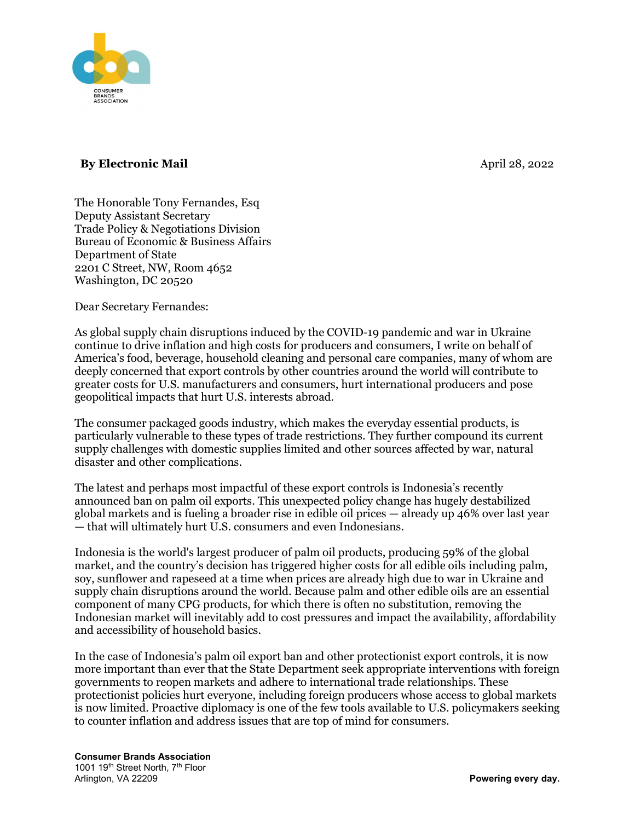

## By Electronic Mail and the state of the state of the April 28, 2022

The Honorable Tony Fernandes, Esq Deputy Assistant Secretary Trade Policy & Negotiations Division Bureau of Economic & Business Affairs Department of State 2201 C Street, NW, Room 4652 Washington, DC 20520

Dear Secretary Fernandes:

As global supply chain disruptions induced by the COVID-19 pandemic and war in Ukraine continue to drive inflation and high costs for producers and consumers, I write on behalf of America's food, beverage, household cleaning and personal care companies, many of whom are deeply concerned that export controls by other countries around the world will contribute to greater costs for U.S. manufacturers and consumers, hurt international producers and pose geopolitical impacts that hurt U.S. interests abroad.

The consumer packaged goods industry, which makes the everyday essential products, is particularly vulnerable to these types of trade restrictions. They further compound its current supply challenges with domestic supplies limited and other sources affected by war, natural disaster and other complications.

The latest and perhaps most impactful of these export controls is Indonesia's recently announced ban on palm oil exports. This unexpected policy change has hugely destabilized global markets and is fueling a broader rise in edible oil prices — already up 46% over last year — that will ultimately hurt U.S. consumers and even Indonesians.

Indonesia is the world's largest producer of palm oil products, producing 59% of the global market, and the country's decision has triggered higher costs for all edible oils including palm, soy, sunflower and rapeseed at a time when prices are already high due to war in Ukraine and supply chain disruptions around the world. Because palm and other edible oils are an essential component of many CPG products, for which there is often no substitution, removing the Indonesian market will inevitably add to cost pressures and impact the availability, affordability and accessibility of household basics.

In the case of Indonesia's palm oil export ban and other protectionist export controls, it is now more important than ever that the State Department seek appropriate interventions with foreign governments to reopen markets and adhere to international trade relationships. These protectionist policies hurt everyone, including foreign producers whose access to global markets is now limited. Proactive diplomacy is one of the few tools available to U.S. policymakers seeking to counter inflation and address issues that are top of mind for consumers.